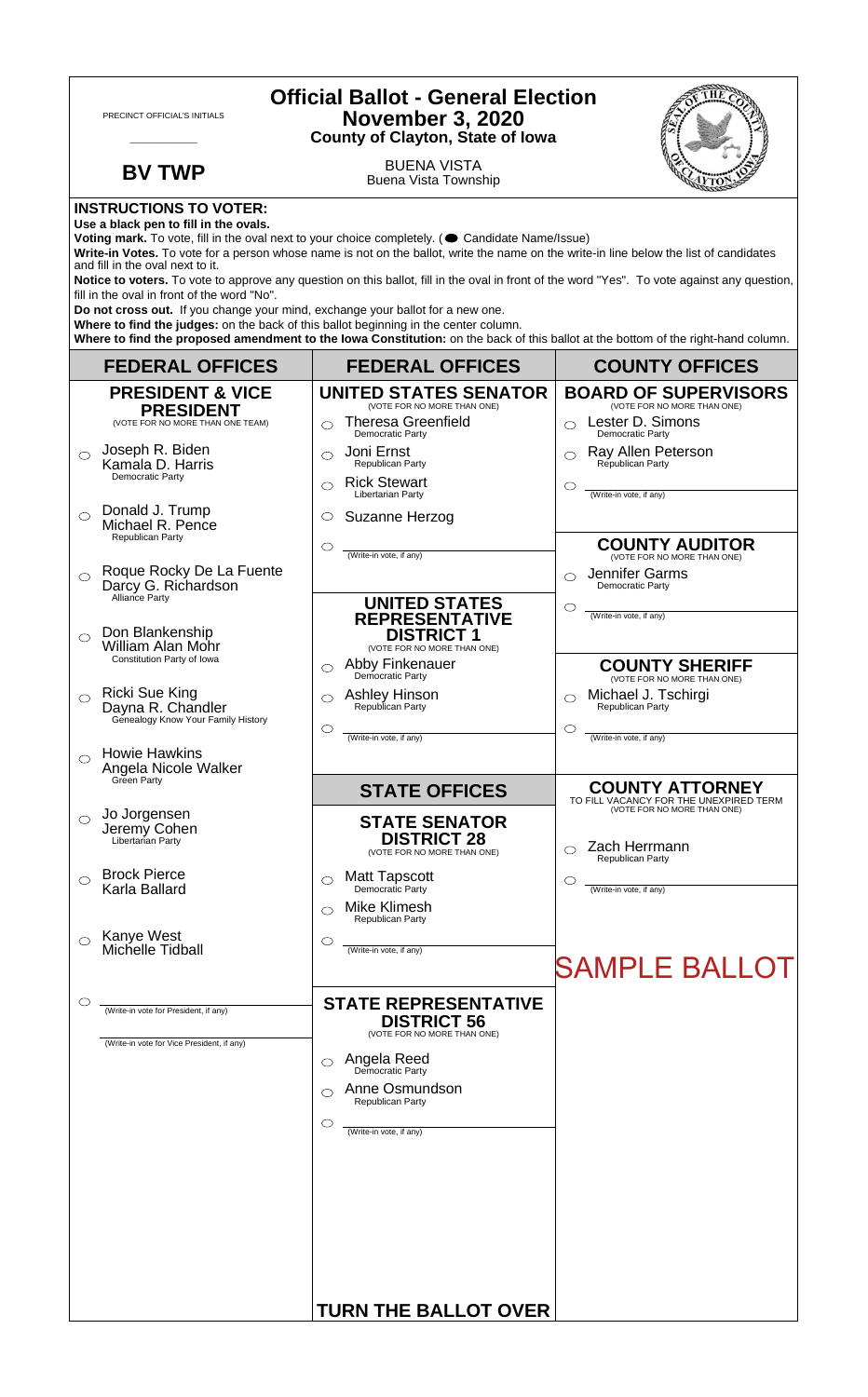| <b>Official Ballot - General Election</b><br>PRECINCT OFFICIAL'S INITIALS<br><b>November 3, 2020</b><br><b>County of Clayton, State of Iowa</b>                                                                                                                                                                                                                                                                                                                                                                                                                                                                                                                                                                                 |                                                                                             |                                                                                                                                                             |                                                                                                 |  |
|---------------------------------------------------------------------------------------------------------------------------------------------------------------------------------------------------------------------------------------------------------------------------------------------------------------------------------------------------------------------------------------------------------------------------------------------------------------------------------------------------------------------------------------------------------------------------------------------------------------------------------------------------------------------------------------------------------------------------------|---------------------------------------------------------------------------------------------|-------------------------------------------------------------------------------------------------------------------------------------------------------------|-------------------------------------------------------------------------------------------------|--|
|                                                                                                                                                                                                                                                                                                                                                                                                                                                                                                                                                                                                                                                                                                                                 | <b>BV TWP</b>                                                                               | <b>BUENA VISTA</b><br><b>Buena Vista Township</b>                                                                                                           |                                                                                                 |  |
| <b>INSTRUCTIONS TO VOTER:</b><br>Use a black pen to fill in the ovals.<br>Voting mark. To vote, fill in the oval next to your choice completely. ( Candidate Name/Issue)<br>Write-in Votes. To vote for a person whose name is not on the ballot, write the name on the write-in line below the list of candidates<br>and fill in the oval next to it.<br>Notice to voters. To vote to approve any question on this ballot, fill in the oval in front of the word "Yes". To vote against any question,<br>fill in the oval in front of the word "No".<br>Do not cross out. If you change your mind, exchange your ballot for a new one.<br>Where to find the judges: on the back of this ballot beginning in the center column. |                                                                                             |                                                                                                                                                             |                                                                                                 |  |
|                                                                                                                                                                                                                                                                                                                                                                                                                                                                                                                                                                                                                                                                                                                                 | <b>FEDERAL OFFICES</b>                                                                      | Where to find the proposed amendment to the lowa Constitution: on the back of this ballot at the bottom of the right-hand column.<br><b>FEDERAL OFFICES</b> | <b>COUNTY OFFICES</b>                                                                           |  |
|                                                                                                                                                                                                                                                                                                                                                                                                                                                                                                                                                                                                                                                                                                                                 | <b>PRESIDENT &amp; VICE</b>                                                                 | <b>UNITED STATES SENATOR</b>                                                                                                                                | <b>BOARD OF SUPERVISORS</b>                                                                     |  |
|                                                                                                                                                                                                                                                                                                                                                                                                                                                                                                                                                                                                                                                                                                                                 | <b>PRESIDENT</b><br>(VOTE FOR NO MORE THAN ONE TEAM)                                        | (VOTE FOR NO MORE THAN ONE)<br><b>Theresa Greenfield</b><br>$\bigcirc$<br><b>Democratic Party</b>                                                           | (VOTE FOR NO MORE THAN ONE)<br>Lester D. Simons<br>$\bigcirc$<br>Democratic Party               |  |
| $\bigcirc$                                                                                                                                                                                                                                                                                                                                                                                                                                                                                                                                                                                                                                                                                                                      | Joseph R. Biden<br>Kamala D. Harris<br>Democratic Party                                     | Joni Ernst<br>◯<br>Republican Party<br><b>Rick Stewart</b><br>$\bigcirc$                                                                                    | Ray Allen Peterson<br>Republican Party                                                          |  |
|                                                                                                                                                                                                                                                                                                                                                                                                                                                                                                                                                                                                                                                                                                                                 | Donald J. Trump                                                                             | Libertarian Party                                                                                                                                           | (Write-in vote, if any)                                                                         |  |
| $\bigcirc$                                                                                                                                                                                                                                                                                                                                                                                                                                                                                                                                                                                                                                                                                                                      | Michael R. Pence<br><b>Republican Party</b>                                                 | Suzanne Herzog<br>$\circ$                                                                                                                                   | <b>COUNTY AUDITOR</b>                                                                           |  |
| $\bigcirc$                                                                                                                                                                                                                                                                                                                                                                                                                                                                                                                                                                                                                                                                                                                      | Roque Rocky De La Fuente<br>Darcy G. Richardson                                             | $\circ$<br>(Write-in vote, if any)                                                                                                                          | (VOTE FOR NO MORE THAN ONE)<br>Jennifer Garms<br>◯<br>Democratic Party                          |  |
| ◯                                                                                                                                                                                                                                                                                                                                                                                                                                                                                                                                                                                                                                                                                                                               | Alliance Party<br>Don Blankenship<br><b>William Alan Mohr</b><br>Constitution Party of Iowa | <b>UNITED STATES</b><br><b>REPRESENTATIVE</b><br><b>DISTRICT 1</b><br>(VOTE FOR NO MORE THAN ONE)<br>Abby Finkenauer<br>◯                                   | O<br>(Write-in vote, if any)<br><b>COUNTY SHERIFF</b>                                           |  |
| $\circ$                                                                                                                                                                                                                                                                                                                                                                                                                                                                                                                                                                                                                                                                                                                         | <b>Ricki Sue King</b><br>Dayna R. Chandler<br>Genealogy Know Your Family History            | Democratic Party<br><b>Ashley Hinson</b><br>Republican Party<br>O                                                                                           | (VOTE FOR NO MORE THAN ONE)<br>Michael J. Tschirgi<br>◯<br>Republican Party<br>O                |  |
|                                                                                                                                                                                                                                                                                                                                                                                                                                                                                                                                                                                                                                                                                                                                 | <b>Howie Hawkins</b><br>Angela Nicole Walker<br>Green Party                                 | (Write-in vote, if any)                                                                                                                                     | (Write-in vote, if any)                                                                         |  |
|                                                                                                                                                                                                                                                                                                                                                                                                                                                                                                                                                                                                                                                                                                                                 |                                                                                             | <b>STATE OFFICES</b>                                                                                                                                        | <b>COUNTY ATTORNEY</b><br>TO FILL VACANCY FOR THE UNEXPIRED TERM<br>(VOTE FOR NO MORE THAN ONE) |  |
| $\circ$                                                                                                                                                                                                                                                                                                                                                                                                                                                                                                                                                                                                                                                                                                                         | Jo Jorgensen<br>Jeremy Cohen<br>Libertarian Party                                           | <b>STATE SENATOR</b><br><b>DISTRICT 28</b><br>(VOTE FOR NO MORE THAN ONE)                                                                                   | Zach Herrmann<br>Republican Party                                                               |  |
| ◯                                                                                                                                                                                                                                                                                                                                                                                                                                                                                                                                                                                                                                                                                                                               | <b>Brock Pierce</b><br>Karla Ballard                                                        | <b>Matt Tapscott</b><br>◯<br>Democratic Party                                                                                                               | ◯<br>(Write-in vote, if any)                                                                    |  |
|                                                                                                                                                                                                                                                                                                                                                                                                                                                                                                                                                                                                                                                                                                                                 |                                                                                             | Mike Klimesh<br>⌒<br><b>Republican Party</b>                                                                                                                |                                                                                                 |  |
| $\bigcirc$                                                                                                                                                                                                                                                                                                                                                                                                                                                                                                                                                                                                                                                                                                                      | Kanye West<br>Michelle Tidball                                                              | O<br>(Write-in vote, if any)                                                                                                                                | <b>SAMPLE BALLOT</b>                                                                            |  |
| O                                                                                                                                                                                                                                                                                                                                                                                                                                                                                                                                                                                                                                                                                                                               | (Write-in vote for President, if any)                                                       | <b>STATE REPRESENTATIVE</b>                                                                                                                                 |                                                                                                 |  |
|                                                                                                                                                                                                                                                                                                                                                                                                                                                                                                                                                                                                                                                                                                                                 | (Write-in vote for Vice President, if any)                                                  | <b>DISTRICT 56</b><br>(VOTE FOR NO MORE THAN ONE)                                                                                                           |                                                                                                 |  |
|                                                                                                                                                                                                                                                                                                                                                                                                                                                                                                                                                                                                                                                                                                                                 |                                                                                             | <b>Angela Reed</b><br>Democratic Party<br>$\circlearrowright$                                                                                               |                                                                                                 |  |
|                                                                                                                                                                                                                                                                                                                                                                                                                                                                                                                                                                                                                                                                                                                                 |                                                                                             | Anne Osmundson<br>◯<br>Republican Party                                                                                                                     |                                                                                                 |  |
|                                                                                                                                                                                                                                                                                                                                                                                                                                                                                                                                                                                                                                                                                                                                 |                                                                                             | $\circlearrowright$<br>(Write-in vote, if any)                                                                                                              |                                                                                                 |  |
|                                                                                                                                                                                                                                                                                                                                                                                                                                                                                                                                                                                                                                                                                                                                 |                                                                                             |                                                                                                                                                             |                                                                                                 |  |
|                                                                                                                                                                                                                                                                                                                                                                                                                                                                                                                                                                                                                                                                                                                                 |                                                                                             |                                                                                                                                                             |                                                                                                 |  |
|                                                                                                                                                                                                                                                                                                                                                                                                                                                                                                                                                                                                                                                                                                                                 |                                                                                             |                                                                                                                                                             |                                                                                                 |  |
|                                                                                                                                                                                                                                                                                                                                                                                                                                                                                                                                                                                                                                                                                                                                 |                                                                                             |                                                                                                                                                             |                                                                                                 |  |
|                                                                                                                                                                                                                                                                                                                                                                                                                                                                                                                                                                                                                                                                                                                                 |                                                                                             |                                                                                                                                                             |                                                                                                 |  |
|                                                                                                                                                                                                                                                                                                                                                                                                                                                                                                                                                                                                                                                                                                                                 |                                                                                             | <b>TURN THE BALLOT OVER</b>                                                                                                                                 |                                                                                                 |  |